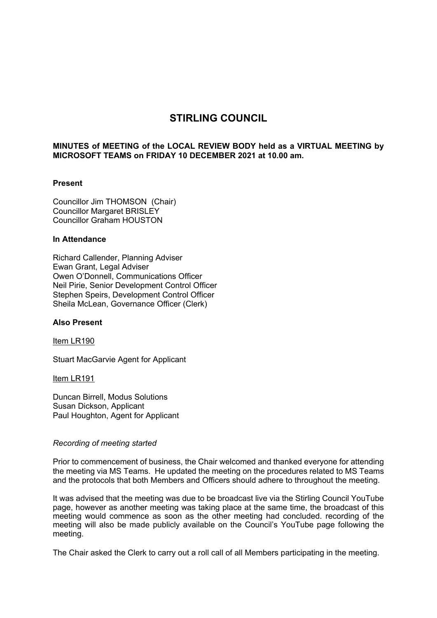# **STIRLING COUNCIL**

## **MINUTES of MEETING of the LOCAL REVIEW BODY held as a VIRTUAL MEETING by MICROSOFT TEAMS on FRIDAY 10 DECEMBER 2021 at 10.00 am.**

## **Present**

Councillor Jim THOMSON (Chair) Councillor Margaret BRISLEY Councillor Graham HOUSTON

#### **In Attendance**

Richard Callender, Planning Adviser Ewan Grant, Legal Adviser Owen O'Donnell, Communications Officer Neil Pirie, Senior Development Control Officer Stephen Speirs, Development Control Officer Sheila McLean, Governance Officer (Clerk)

## **Also Present**

Item LR190

Stuart MacGarvie Agent for Applicant

Item LR191

Duncan Birrell, Modus Solutions Susan Dickson, Applicant Paul Houghton, Agent for Applicant

## *Recording of meeting started*

Prior to commencement of business, the Chair welcomed and thanked everyone for attending the meeting via MS Teams. He updated the meeting on the procedures related to MS Teams and the protocols that both Members and Officers should adhere to throughout the meeting.

It was advised that the meeting was due to be broadcast live via the Stirling Council YouTube page, however as another meeting was taking place at the same time, the broadcast of this meeting would commence as soon as the other meeting had concluded. recording of the meeting will also be made publicly available on the Council's YouTube page following the meeting.

The Chair asked the Clerk to carry out a roll call of all Members participating in the meeting.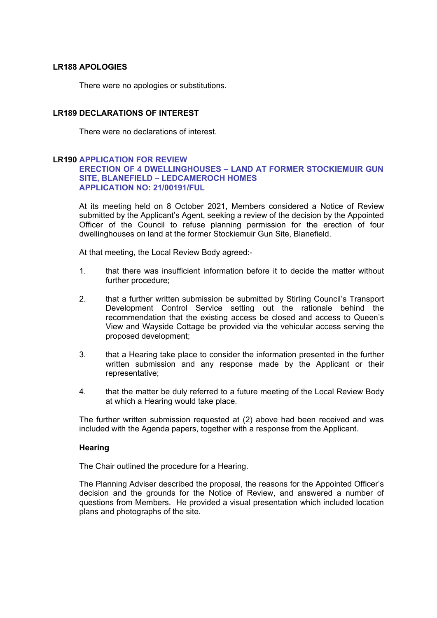# **LR188 APOLOGIES**

There were no apologies or substitutions.

# **LR189 DECLARATIONS OF INTEREST**

There were no declarations of interest.

# **LR190 APPLICATION FOR REVIEW ERECTION OF 4 DWELLINGHOUSES – LAND AT FORMER STOCKIEMUIR GUN SITE, BLANEFIELD – LEDCAMEROCH HOMES APPLICATION NO: 21/00191/FUL**

At its meeting held on 8 October 2021, Members considered a Notice of Review submitted by the Applicant's Agent, seeking a review of the decision by the Appointed Officer of the Council to refuse planning permission for the erection of four dwellinghouses on land at the former Stockiemuir Gun Site, Blanefield.

At that meeting, the Local Review Body agreed:-

- 1. that there was insufficient information before it to decide the matter without further procedure;
- 2. that a further written submission be submitted by Stirling Council's Transport Development Control Service setting out the rationale behind the recommendation that the existing access be closed and access to Queen's View and Wayside Cottage be provided via the vehicular access serving the proposed development;
- 3. that a Hearing take place to consider the information presented in the further written submission and any response made by the Applicant or their representative;
- 4. that the matter be duly referred to a future meeting of the Local Review Body at which a Hearing would take place.

The further written submission requested at (2) above had been received and was included with the Agenda papers, together with a response from the Applicant.

## **Hearing**

The Chair outlined the procedure for a Hearing.

The Planning Adviser described the proposal, the reasons for the Appointed Officer's decision and the grounds for the Notice of Review, and answered a number of questions from Members. He provided a visual presentation which included location plans and photographs of the site.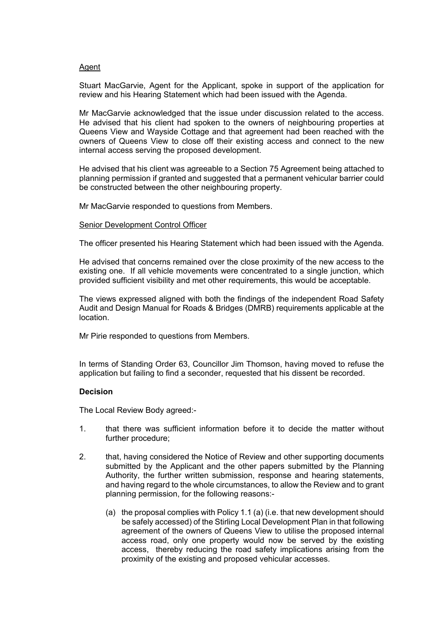## Agent

Stuart MacGarvie, Agent for the Applicant, spoke in support of the application for review and his Hearing Statement which had been issued with the Agenda.

Mr MacGarvie acknowledged that the issue under discussion related to the access. He advised that his client had spoken to the owners of neighbouring properties at Queens View and Wayside Cottage and that agreement had been reached with the owners of Queens View to close off their existing access and connect to the new internal access serving the proposed development.

He advised that his client was agreeable to a Section 75 Agreement being attached to planning permission if granted and suggested that a permanent vehicular barrier could be constructed between the other neighbouring property.

Mr MacGarvie responded to questions from Members.

#### Senior Development Control Officer

The officer presented his Hearing Statement which had been issued with the Agenda.

He advised that concerns remained over the close proximity of the new access to the existing one. If all vehicle movements were concentrated to a single junction, which provided sufficient visibility and met other requirements, this would be acceptable.

The views expressed aligned with both the findings of the independent Road Safety Audit and Design Manual for Roads & Bridges (DMRB) requirements applicable at the location.

Mr Pirie responded to questions from Members.

In terms of Standing Order 63, Councillor Jim Thomson, having moved to refuse the application but failing to find a seconder, requested that his dissent be recorded.

## **Decision**

The Local Review Body agreed:-

- 1. that there was sufficient information before it to decide the matter without further procedure;
- 2. that, having considered the Notice of Review and other supporting documents submitted by the Applicant and the other papers submitted by the Planning Authority, the further written submission, response and hearing statements, and having regard to the whole circumstances, to allow the Review and to grant planning permission, for the following reasons:-
	- (a) the proposal complies with Policy 1.1 (a) (i.e. that new development should be safely accessed) of the Stirling Local Development Plan in that following agreement of the owners of Queens View to utilise the proposed internal access road, only one property would now be served by the existing access, thereby reducing the road safety implications arising from the proximity of the existing and proposed vehicular accesses.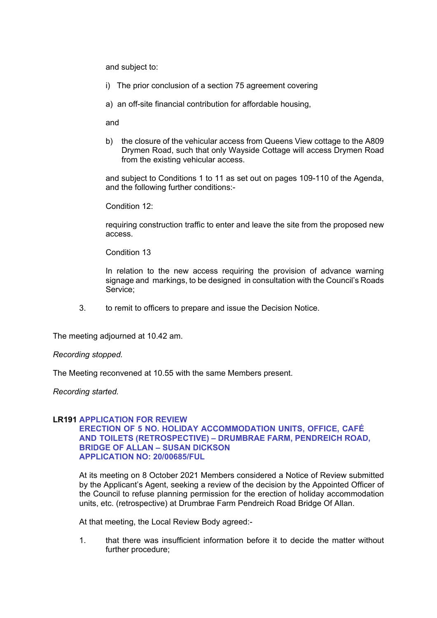and subject to:

- i) The prior conclusion of a section 75 agreement covering
- a) an off-site financial contribution for affordable housing,

and

b) the closure of the vehicular access from Queens View cottage to the A809 Drymen Road, such that only Wayside Cottage will access Drymen Road from the existing vehicular access.

and subject to Conditions 1 to 11 as set out on pages 109-110 of the Agenda, and the following further conditions:-

Condition 12:

requiring construction traffic to enter and leave the site from the proposed new access.

Condition 13

In relation to the new access requiring the provision of advance warning signage and markings, to be designed in consultation with the Council's Roads Service;

3. to remit to officers to prepare and issue the Decision Notice.

The meeting adjourned at 10.42 am.

*Recording stopped.*

The Meeting reconvened at 10.55 with the same Members present.

*Recording started.* 

## **LR191 APPLICATION FOR REVIEW**

# **ERECTION OF 5 NO. HOLIDAY ACCOMMODATION UNITS, OFFICE, CAFÉ AND TOILETS (RETROSPECTIVE) – DRUMBRAE FARM, PENDREICH ROAD, BRIDGE OF ALLAN – SUSAN DICKSON APPLICATION NO: 20/00685/FUL**

At its meeting on 8 October 2021 Members considered a Notice of Review submitted by the Applicant's Agent, seeking a review of the decision by the Appointed Officer of the Council to refuse planning permission for the erection of holiday accommodation units, etc. (retrospective) at Drumbrae Farm Pendreich Road Bridge Of Allan.

At that meeting, the Local Review Body agreed:-

1. that there was insufficient information before it to decide the matter without further procedure;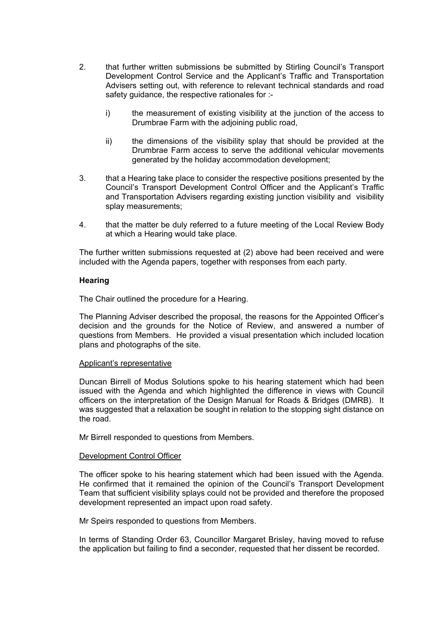- 2. that further written submissions be submitted by Stirling Council's Transport Development Control Service and the Applicant's Traffic and Transportation Advisers setting out, with reference to relevant technical standards and road safety guidance, the respective rationales for :
	- i) the measurement of existing visibility at the junction of the access to Drumbrae Farm with the adjoining public road,
	- ii) the dimensions of the visibility splay that should be provided at the Drumbrae Farm access to serve the additional vehicular movements generated by the holiday accommodation development;
- 3. that a Hearing take place to consider the respective positions presented by the Council's Transport Development Control Officer and the Applicant's Traffic and Transportation Advisers regarding existing junction visibility and visibility splay measurements;
- 4. that the matter be duly referred to a future meeting of the Local Review Body at which a Hearing would take place.

The further written submissions requested at (2) above had been received and were included with the Agenda papers, together with responses from each party.

# **Hearing**

The Chair outlined the procedure for a Hearing.

The Planning Adviser described the proposal, the reasons for the Appointed Officer's decision and the grounds for the Notice of Review, and answered a number of questions from Members. He provided a visual presentation which included location plans and photographs of the site.

## Applicant's representative

Duncan Birrell of Modus Solutions spoke to his hearing statement which had been issued with the Agenda and which highlighted the difference in views with Council officers on the interpretation of the Design Manual for Roads & Bridges (DMRB). It was suggested that a relaxation be sought in relation to the stopping sight distance on the road.

Mr Birrell responded to questions from Members.

## Development Control Officer

The officer spoke to his hearing statement which had been issued with the Agenda. He confirmed that it remained the opinion of the Council's Transport Development Team that sufficient visibility splays could not be provided and therefore the proposed development represented an impact upon road safety.

Mr Speirs responded to questions from Members.

In terms of Standing Order 63, Councillor Margaret Brisley, having moved to refuse the application but failing to find a seconder, requested that her dissent be recorded.